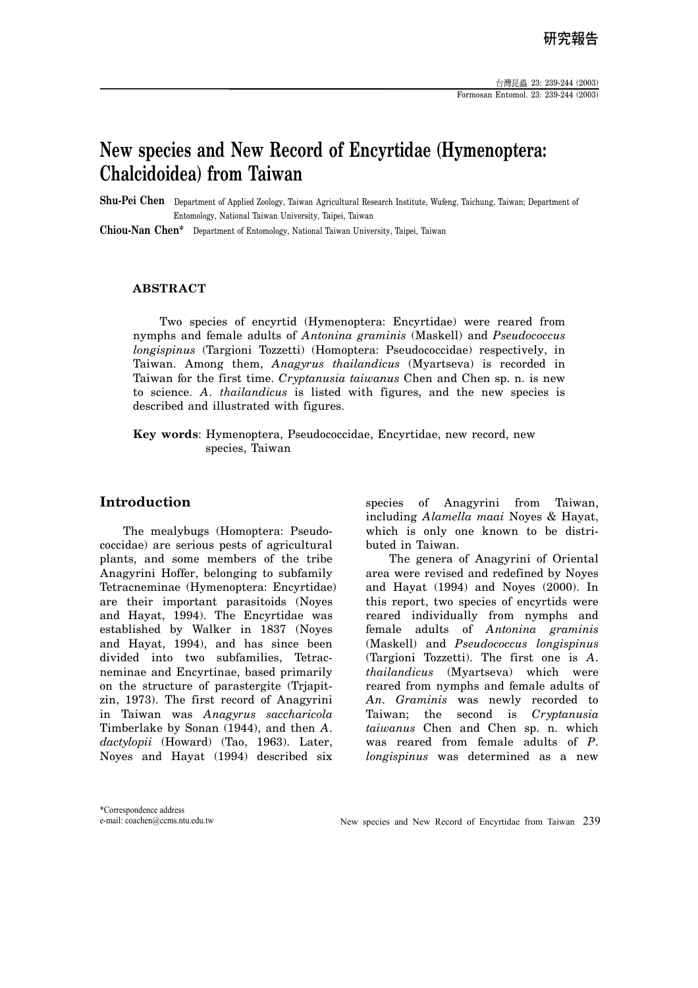## **New species and New Record of Encyrtidae (Hymenoptera: Chalcidoidea) from Taiwan**

**Shu-Pei Chen** Department of Applied Zoology, Taiwan Agricultural Research Institute, Wufeng, Taichung, Taiwan; Department of Entomology, National Taiwan University, Taipei, Taiwan

**Chiou-Nan Chen\*** Department of Entomology, National Taiwan University, Taipei, Taiwan

#### **ABSTRACT**

 Two species of encyrtid (Hymenoptera: Encyrtidae) were reared from nymphs and female adults of *Antonina graminis* (Maskell) and *Pseudococcus longispinus* (Targioni Tozzetti) (Homoptera: Pseudococcidae) respectively, in Taiwan. Among them, *Anagyrus thailandicus* (Myartseva) is recorded in Taiwan for the first time. *Cryptanusia taiwanus* Chen and Chen sp. n. is new to science. *A. thailandicus* is listed with figures, and the new species is described and illustrated with figures.

**Key words**: Hymenoptera, Pseudococcidae, Encyrtidae, new record, new species, Taiwan

#### **Introduction**

The mealybugs (Homoptera: Pseudococcidae) are serious pests of agricultural plants, and some members of the tribe Anagyrini Hoffer, belonging to subfamily Tetracneminae (Hymenoptera: Encyrtidae) are their important parasitoids (Noyes and Hayat, 1994). The Encyrtidae was established by Walker in 1837 (Noyes and Hayat, 1994), and has since been divided into two subfamilies, Tetracneminae and Encyrtinae, based primarily on the structure of parastergite (Trjapitzin, 1973). The first record of Anagyrini in Taiwan was *Anagyrus saccharicola* Timberlake by Sonan (1944), and then *A*. *dactylopii* (Howard) (Tao, 1963). Later, Noyes and Hayat (1994) described six

species of Anagyrini from Taiwan, including *Alamella maai* Noyes & Hayat, which is only one known to be distributed in Taiwan.

The genera of Anagyrini of Oriental area were revised and redefined by Noyes and Hayat (1994) and Noyes (2000). In this report, two species of encyrtids were reared individually from nymphs and female adults of *Antonina graminis*  (Maskell) and *Pseudococcus longispinus*  (Targioni Tozzetti). The first one is *A*. *thailandicus* (Myartseva) which were reared from nymphs and female adults of *An*. *Graminis* was newly recorded to Taiwan; the second is *Cryptanusia taiwanus* Chen and Chen sp. n. which was reared from female adults of *P*. *longispinus* was determined as a new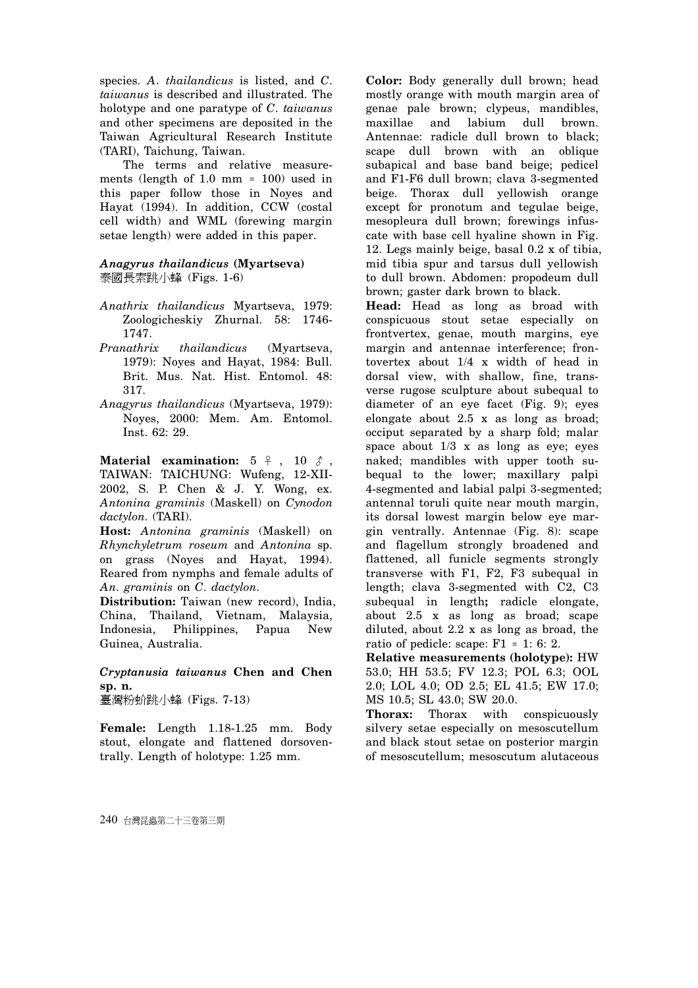species. *A*. *thailandicus* is listed, and *C*. *taiwanus* is described and illustrated. The holotype and one paratype of *C*. *taiwanus* and other specimens are deposited in the Taiwan Agricultural Research Institute (TARI), Taichung, Taiwan.

The terms and relative measurements (length of 1.0 mm = 100) used in this paper follow those in Noyes and Hayat (1994). In addition, CCW (costal cell width) and WML (forewing margin setae length) were added in this paper.

#### *Anagyrus thailandicus* **(Myartseva)**  泰國長索跳小蜂 (Figs. 1-6)

- *Anathrix thailandicus* Myartseva, 1979: Zoologicheskiy Zhurnal. 58: 1746- 1747.
- *Pranathrix thailandicus* (Myartseva, 1979): Noyes and Hayat, 1984: Bull. Brit. Mus. Nat. Hist. Entomol. 48: 317.
- *Anagyrus thailandicus* (Myartseva, 1979): Noyes, 2000: Mem. Am. Entomol. Inst. 62: 29.

**Material examination:**  $5 \div 10 \hat{3}$ , TAIWAN: TAICHUNG: Wufeng, 12-XII-2002, S. P. Chen & J. Y. Wong, ex. *Antonina graminis* (Maskell) on *Cynodon dactylon*. (TARI).

**Host:** *Antonina graminis* (Maskell) on *Rhynchyletrum roseum* and *Antonina* sp. on grass (Noyes and Hayat, 1994). Reared from nymphs and female adults of *An. graminis* on *C*. *dactylon*.

**Distribution:** Taiwan (new record), India, China, Thailand, Vietnam, Malaysia, Indonesia, Philippines, Papua New Guinea, Australia.

*Cryptanusia taiwanus* **Chen and Chen sp. n.** 

臺灣粉蚧跳小蜂 (Figs. 7-13)

**Female:** Length 1.18-1.25 mm. Body stout, elongate and flattened dorsoventrally. Length of holotype: 1.25 mm.

**Color:** Body generally dull brown; head mostly orange with mouth margin area of genae pale brown; clypeus, mandibles, maxillae and labium dull brown. Antennae: radicle dull brown to black; scape dull brown with an oblique subapical and base band beige; pedicel and F1-F6 dull brown; clava 3-segmented beige. Thorax dull yellowish orange except for pronotum and tegulae beige, mesopleura dull brown; forewings infuscate with base cell hyaline shown in Fig. 12. Legs mainly beige, basal 0.2 x of tibia, mid tibia spur and tarsus dull yellowish to dull brown. Abdomen: propodeum dull brown; gaster dark brown to black.

**Head:** Head as long as broad with conspicuous stout setae especially on frontvertex, genae, mouth margins, eye margin and antennae interference; frontovertex about 1/4 x width of head in dorsal view, with shallow, fine, transverse rugose sculpture about subequal to diameter of an eye facet (Fig. 9); eyes elongate about 2.5 x as long as broad; occiput separated by a sharp fold; malar space about  $1/3$  x as long as eye; eyes naked; mandibles with upper tooth subequal to the lower; maxillary palpi 4-segmented and labial palpi 3-segmented; antennal toruli quite near mouth margin, its dorsal lowest margin below eye margin ventrally. Antennae (Fig. 8): scape and flagellum strongly broadened and flattened, all funicle segments strongly transverse with F1, F2, F3 subequal in length; clava 3-segmented with C2, C3 subequal in length**;** radicle elongate, about 2.5 x as long as broad; scape diluted, about 2.2 x as long as broad, the ratio of pedicle: scape: F1 = 1: 6: 2.

**Relative measurements (holotype):** HW 53.0; HH 53.5; FV 12.3; POL 6.3; OOL 2.0; LOL 4.0; OD 2.5; EL 41.5; EW 17.0; MS 10.5; SL 43.0; SW 20.0.

**Thorax:** Thorax with conspicuously silvery setae especially on mesoscutellum and black stout setae on posterior margin of mesoscutellum; mesoscutum alutaceous

240 台灣昆蟲第二十三卷第三期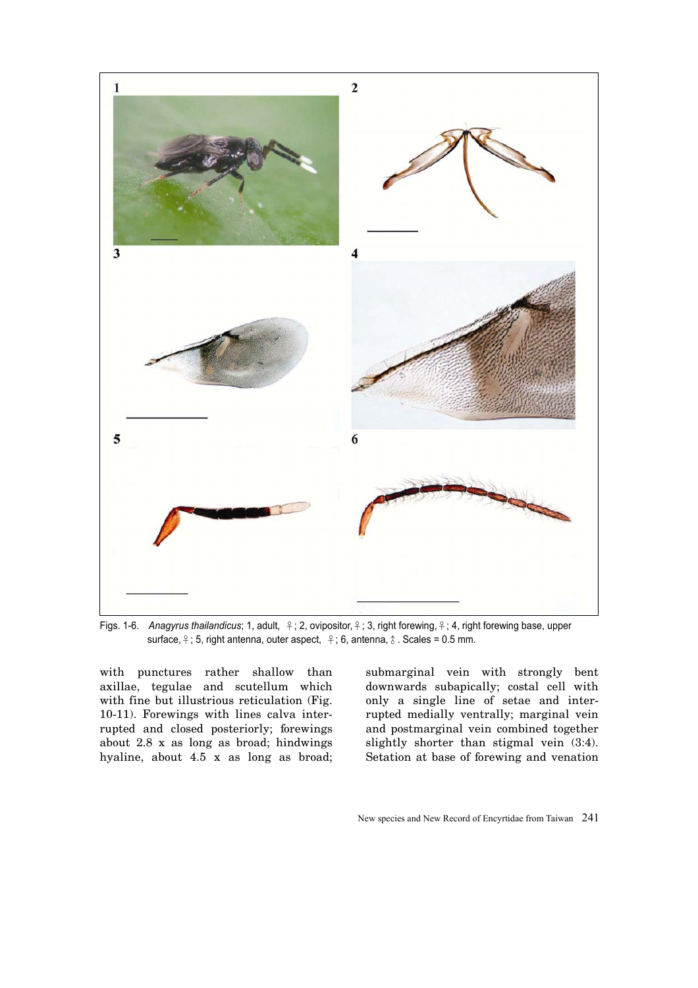

Figs. 1-6. *Anagyrus thailandicus*; 1, adult, ♀; 2, ovipositor,♀; 3, right forewing,♀; 4, right forewing base, upper surface,  $\frac{6}{7}$ ; 5, right antenna, outer aspect,  $\frac{6}{7}$ ; 6, antenna,  $\frac{6}{7}$ . Scales = 0.5 mm.

with punctures rather shallow than axillae, tegulae and scutellum which with fine but illustrious reticulation (Fig. 10-11). Forewings with lines calva interrupted and closed posteriorly; forewings about 2.8 x as long as broad; hindwings hyaline, about 4.5 x as long as broad;

submarginal vein with strongly bent downwards subapically; costal cell with only a single line of setae and interrupted medially ventrally; marginal vein and postmarginal vein combined together slightly shorter than stigmal vein (3:4). Setation at base of forewing and venation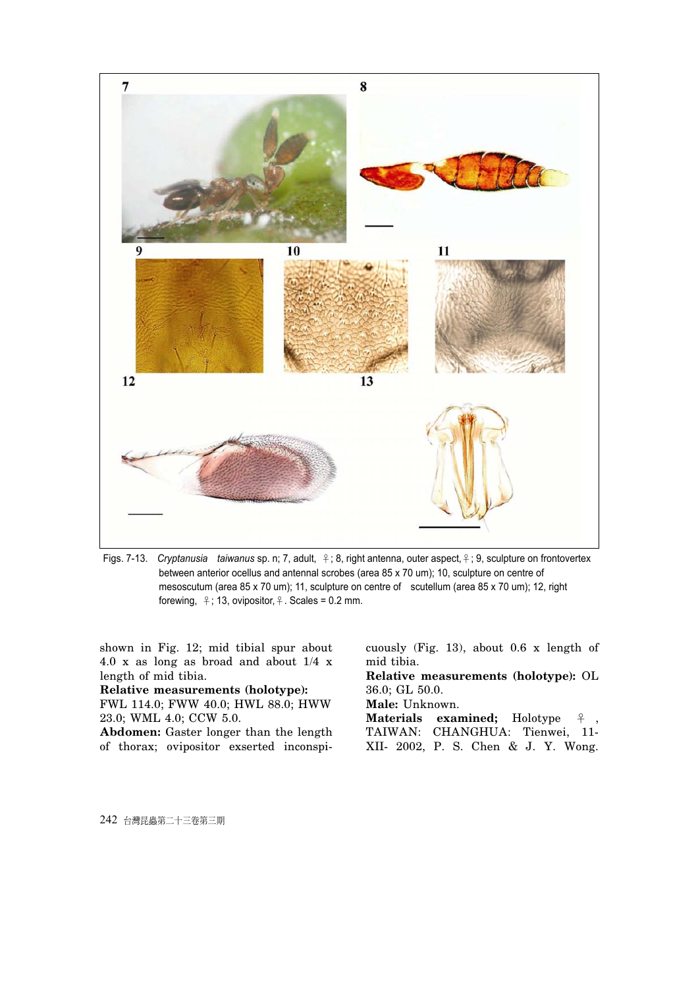

Figs. 7-13. *Cryptanusia taiwanus* sp. n; 7, adult, ♀; 8, right antenna, outer aspect,♀; 9, sculpture on frontovertex between anterior ocellus and antennal scrobes (area 85 x 70 um); 10, sculpture on centre of mesoscutum (area 85 x 70 um); 11, sculpture on centre of scutellum (area 85 x 70 um); 12, right forewing,  $\frac{9}{7}$ ; 13, ovipositor,  $\frac{9}{7}$ . Scales = 0.2 mm.

shown in Fig. 12; mid tibial spur about 4.0 x as long as broad and about 1/4 x length of mid tibia.

**Relative measurements (holotype):**  FWL 114.0; FWW 40.0; HWL 88.0; HWW 23.0; WML 4.0; CCW 5.0.

**Abdomen:** Gaster longer than the length of thorax; ovipositor exserted inconspicuously (Fig. 13), about 0.6 x length of mid tibia.

**Relative measurements (holotype):** OL 36.0; GL 50.0.

**Male:** Unknown.

**Materials examined;** Holotype ♀ TAIWAN: CHANGHUA: Tienwei, 11- XII- 2002, P. S. Chen & J. Y. Wong.

242 台灣昆蟲第二十三卷第三期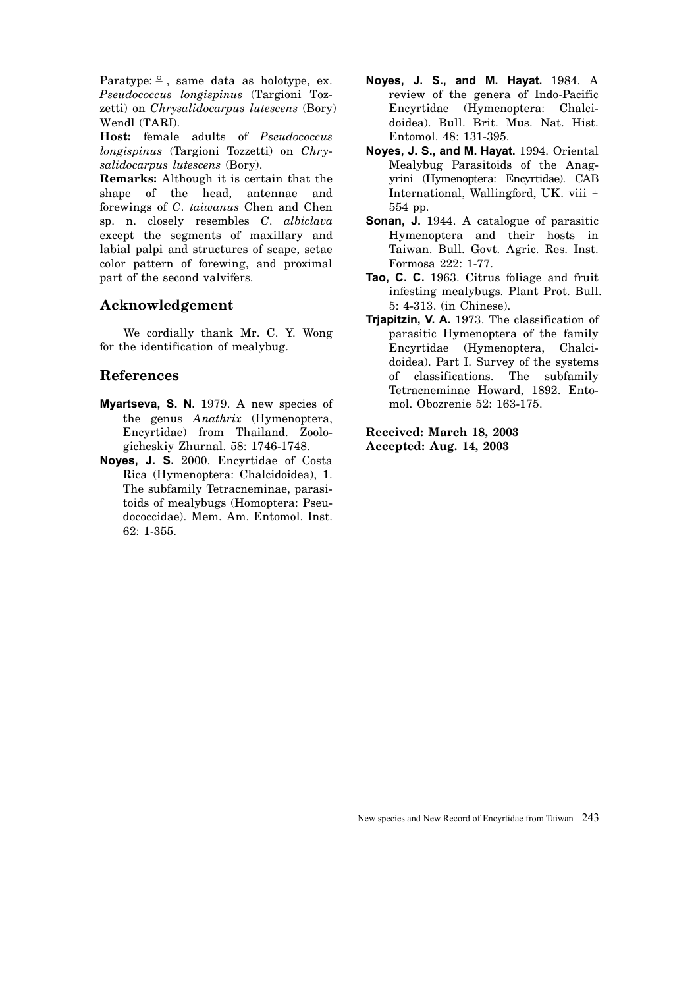Paratype:  $\frac{6}{7}$ , same data as holotype, ex. *Pseudococcus longispinus* (Targioni Tozzetti) on *Chrysalidocarpus lutescens* (Bory) Wendl (TARI).

**Host:** female adults of *Pseudococcus longispinus* (Targioni Tozzetti) on *Chrysalidocarpus lutescens* (Bory).

**Remarks:** Although it is certain that the shape of the head, antennae and forewings of *C. taiwanus* Chen and Chen sp. n. closely resembles *C. albiclava* except the segments of maxillary and labial palpi and structures of scape, setae color pattern of forewing, and proximal part of the second valvifers.

### **Acknowledgement**

We cordially thank Mr. C. Y. Wong for the identification of mealybug.

### **References**

- **Myartseva, S. N.** 1979. A new species of the genus *Anathrix* (Hymenoptera, Encyrtidae) from Thailand. Zoologicheskiy Zhurnal. 58: 1746-1748.
- **Noyes, J. S.** 2000. Encyrtidae of Costa Rica (Hymenoptera: Chalcidoidea), 1. The subfamily Tetracneminae, parasitoids of mealybugs (Homoptera: Pseudococcidae). Mem. Am. Entomol. Inst. 62: 1-355.
- **Noyes, J. S., and M. Hayat.** 1984. A review of the genera of Indo-Pacific Encyrtidae (Hymenoptera: Chalcidoidea). Bull. Brit. Mus. Nat. Hist. Entomol. 48: 131-395.
- **Noyes, J. S., and M. Hayat.** 1994. Oriental Mealybug Parasitoids of the Anagyrini (Hymenoptera: Encyrtidae). CAB International, Wallingford, UK. viii + 554 pp.
- **Sonan, J.** 1944. A catalogue of parasitic Hymenoptera and their hosts in Taiwan. Bull. Govt. Agric. Res. Inst. Formosa 222: 1-77.
- **Tao, C. C.** 1963. Citrus foliage and fruit infesting mealybugs. Plant Prot. Bull. 5: 4-313. (in Chinese).
- **Trjapitzin, V. A.** 1973. The classification of parasitic Hymenoptera of the family Encyrtidae (Hymenoptera, Chalcidoidea). Part I. Survey of the systems of classifications. The subfamily Tetracneminae Howard, 1892. Entomol. Obozrenie 52: 163-175.

**Received: March 18, 2003 Accepted: Aug. 14, 2003**